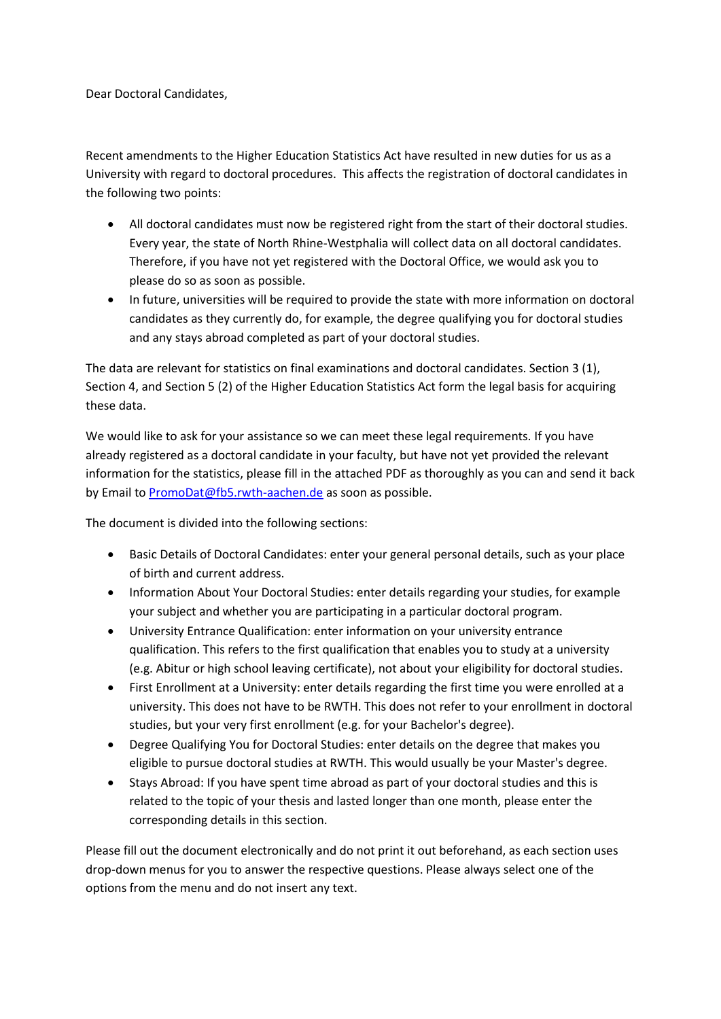Dear Doctoral Candidates,

Recent amendments to the Higher Education Statistics Act have resulted in new duties for us as a University with regard to doctoral procedures. This affects the registration of doctoral candidates in the following two points:

- All doctoral candidates must now be registered right from the start of their doctoral studies. Every year, the state of North Rhine-Westphalia will collect data on all doctoral candidates. Therefore, if you have not yet registered with the Doctoral Office, we would ask you to please do so as soon as possible.
- In future, universities will be required to provide the state with more information on doctoral candidates as they currently do, for example, the degree qualifying you for doctoral studies and any stays abroad completed as part of your doctoral studies.

The data are relevant for statistics on final examinations and doctoral candidates. Section 3 (1), Section 4, and Section 5 (2) of the Higher Education Statistics Act form the legal basis for acquiring these data.

We would like to ask for your assistance so we can meet these legal requirements. If you have already registered as a doctoral candidate in your faculty, but have not yet provided the relevant information for the statistics, please fill in the attached PDF as thoroughly as you can and send it back by Email to [PromoDat@fb5.rwth-aachen.de](mailto:PromoDat@fb5.rwth-aachen.de) as soon as possible.

The document is divided into the following sections:

- Basic Details of Doctoral Candidates: enter your general personal details, such as your place of birth and current address.
- Information About Your Doctoral Studies: enter details regarding your studies, for example your subject and whether you are participating in a particular doctoral program.
- University Entrance Qualification: enter information on your university entrance qualification. This refers to the first qualification that enables you to study at a university (e.g. Abitur or high school leaving certificate), not about your eligibility for doctoral studies.
- First Enrollment at a University: enter details regarding the first time you were enrolled at a university. This does not have to be RWTH. This does not refer to your enrollment in doctoral studies, but your very first enrollment (e.g. for your Bachelor's degree).
- Degree Qualifying You for Doctoral Studies: enter details on the degree that makes you eligible to pursue doctoral studies at RWTH. This would usually be your Master's degree.
- Stays Abroad: If you have spent time abroad as part of your doctoral studies and this is related to the topic of your thesis and lasted longer than one month, please enter the corresponding details in this section.

Please fill out the document electronically and do not print it out beforehand, as each section uses drop-down menus for you to answer the respective questions. Please always select one of the options from the menu and do not insert any text.